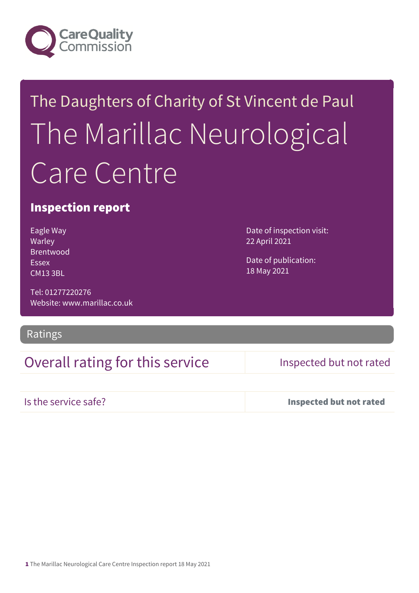

# The Daughters of Charity of St Vincent de Paul The Marillac Neurological Care Centre

## Inspection report

Eagle Way Warley Brentwood Essex CM13 3BL

Tel: 01277220276 Website: www.marillac.co.uk

## Ratings

## Overall rating for this service Inspected but not rated

Date of inspection visit:

Date of publication:

22 April 2021

18 May 2021

Is the service safe? Inspected but not rated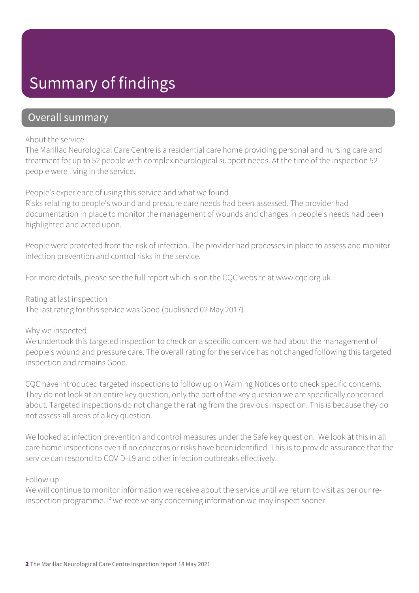# Summary of findings

## Overall summary

### About the service

The Marillac Neurological Care Centre is a residential care home providing personal and nursing care and treatment for up to 52 people with complex neurological support needs. At the time of the inspection 52 people were living in the service.

People's experience of using this service and what we found

Risks relating to people's wound and pressure care needs had been assessed. The provider had documentation in place to monitor the management of wounds and changes in people's needs had been highlighted and acted upon.

People were protected from the risk of infection. The provider had processes in place to assess and monitor infection prevention and control risks in the service.

For more details, please see the full report which is on the CQC website at www.cqc.org.uk

Rating at last inspection The last rating for this service was Good (published 02 May 2017)

## Why we inspected

We undertook this targeted inspection to check on a specific concern we had about the management of people's wound and pressure care. The overall rating for the service has not changed following this targeted inspection and remains Good.

CQC have introduced targeted inspections to follow up on Warning Notices or to check specific concerns. They do not look at an entire key question, only the part of the key question we are specifically concerned about. Targeted inspections do not change the rating from the previous inspection. This is because they do not assess all areas of a key question.

We looked at infection prevention and control measures under the Safe key question. We look at this in all care home inspections even if no concerns or risks have been identified. This is to provide assurance that the service can respond to COVID-19 and other infection outbreaks effectively.

## Follow up

We will continue to monitor information we receive about the service until we return to visit as per our reinspection programme. If we receive any concerning information we may inspect sooner.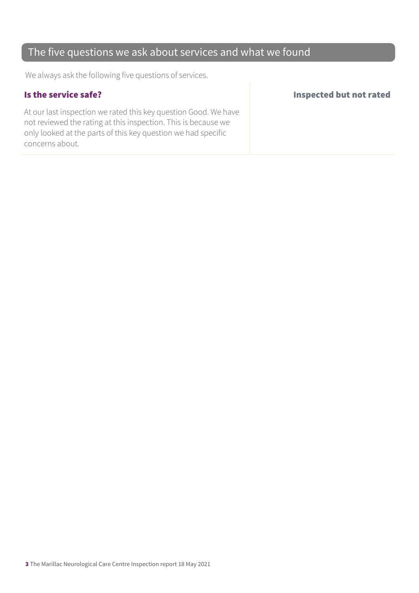## The five questions we ask about services and what we found

We always ask the following five questions of services.

At our last inspection we rated this key question Good. We have not reviewed the rating at this inspection. This is because we only looked at the parts of this key question we had specific concerns about.

## Is the service safe? Inspected but not rated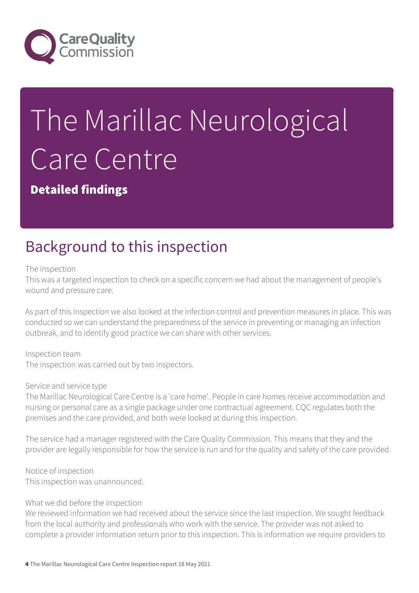

# The Marillac Neurological Care Centre

Detailed findings

# Background to this inspection

The inspection

This was a targeted inspection to check on a specific concern we had about the management of people's wound and pressure care.

As part of this inspection we also looked at the infection control and prevention measures in place. This was conducted so we can understand the preparedness of the service in preventing or managing an infection outbreak, and to identify good practice we can share with other services.

Inspection team The inspection was carried out by two inspectors.

## Service and service type

The Marillac Neurological Care Centre is a 'care home'. People in care homes receive accommodation and nursing or personal care as a single package under one contractual agreement. CQC regulates both the premises and the care provided, and both were looked at during this inspection.

The service had a manager registered with the Care Quality Commission. This means that they and the provider are legally responsible for how the service is run and for the quality and safety of the care provided.

Notice of inspection This inspection was unannounced.

## What we did before the inspection

We reviewed information we had received about the service since the last inspection. We sought feedback from the local authority and professionals who work with the service. The provider was not asked to complete a provider information return prior to this inspection. This is information we require providers to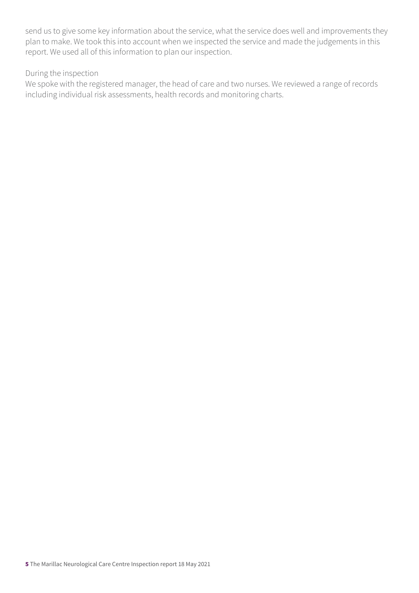send us to give some key information about the service, what the service does well and improvements they plan to make. We took this into account when we inspected the service and made the judgements in this report. We used all of this information to plan our inspection.

## During the inspection

We spoke with the registered manager, the head of care and two nurses. We reviewed a range of records including individual risk assessments, health records and monitoring charts.